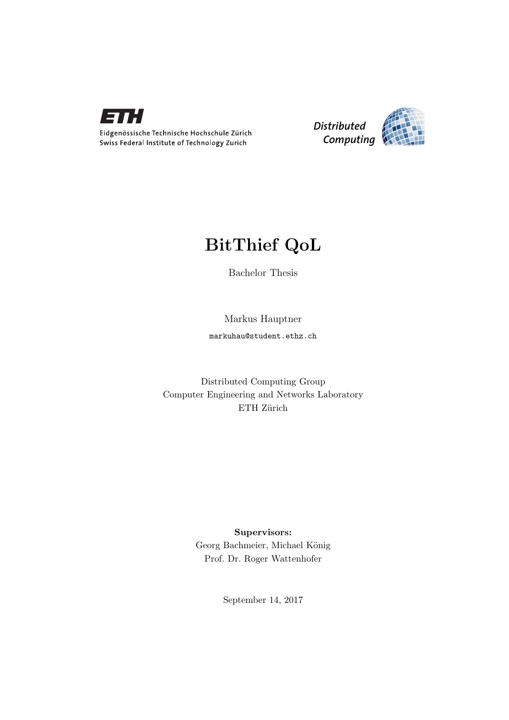



## BitThief QoL

Bachelor Thesis

Markus Hauptner markuhau@student.ethz.ch

Distributed Computing Group Computer Engineering and Networks Laboratory ETH Zürich

> Supervisors: Georg Bachmeier, Michael König Prof. Dr. Roger Wattenhofer

> > September 14, 2017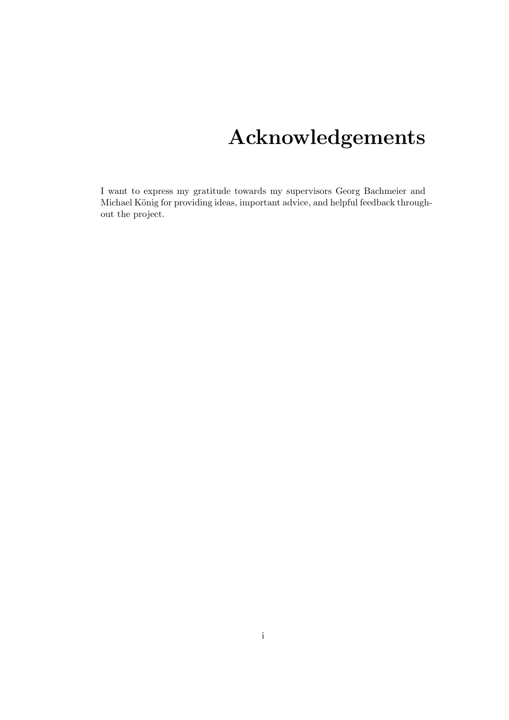# Acknowledgements

<span id="page-1-0"></span>I want to express my gratitude towards my supervisors Georg Bachmeier and Michael König for providing ideas, important advice, and helpful feedback throughout the project.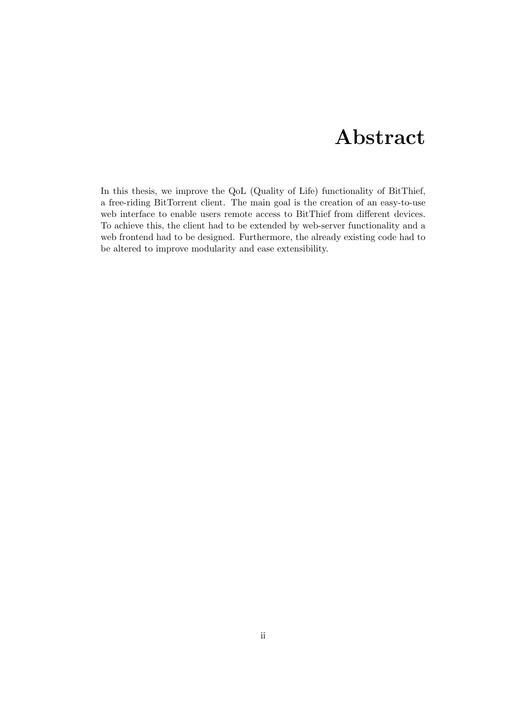# Abstract

<span id="page-2-0"></span>In this thesis, we improve the QoL (Quality of Life) functionality of BitThief, a free-riding BitTorrent client. The main goal is the creation of an easy-to-use web interface to enable users remote access to BitThief from different devices. To achieve this, the client had to be extended by web-server functionality and a web frontend had to be designed. Furthermore, the already existing code had to be altered to improve modularity and ease extensibility.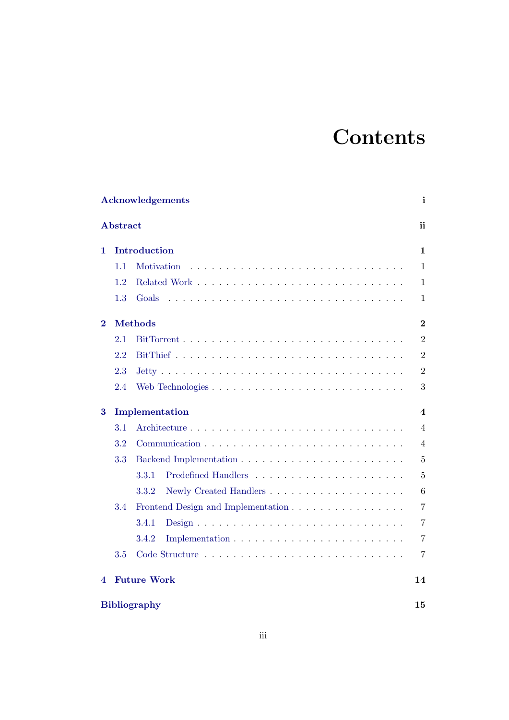# **Contents**

|          | Acknowledgements |                                    |                |  |  |  |  |
|----------|------------------|------------------------------------|----------------|--|--|--|--|
|          | <b>Abstract</b>  |                                    | ii             |  |  |  |  |
| 1.       | Introduction     |                                    |                |  |  |  |  |
|          | 1.1              | <b>Motivation</b>                  | $\mathbf{1}$   |  |  |  |  |
|          | 1.2              |                                    | $\mathbf{1}$   |  |  |  |  |
|          | 1.3              | Goals                              | $\mathbf{1}$   |  |  |  |  |
| $\bf{2}$ |                  | <b>Methods</b>                     |                |  |  |  |  |
|          | 2.1              |                                    | $\overline{2}$ |  |  |  |  |
|          | 2.2              |                                    | $\overline{2}$ |  |  |  |  |
|          | 2.3              |                                    | $\overline{2}$ |  |  |  |  |
|          | 2.4              | Web Technologies                   | 3              |  |  |  |  |
| $\bf{3}$ | Implementation   |                                    |                |  |  |  |  |
|          | 3.1              |                                    | $\overline{4}$ |  |  |  |  |
|          | 3.2              |                                    | 4              |  |  |  |  |
|          | 3.3              |                                    | $\overline{5}$ |  |  |  |  |
|          |                  | 3.3.1                              | $\overline{5}$ |  |  |  |  |
|          |                  | 3.3.2                              | 6              |  |  |  |  |
|          | 3.4              | Frontend Design and Implementation | $\overline{7}$ |  |  |  |  |
|          |                  | 3.4.1                              | $\overline{7}$ |  |  |  |  |
|          |                  | 3.4.2                              | $\overline{7}$ |  |  |  |  |
|          | 3.5              |                                    | 7              |  |  |  |  |
| 4        |                  | <b>Future Work</b>                 | 14             |  |  |  |  |
|          |                  | <b>Bibliography</b>                | 15             |  |  |  |  |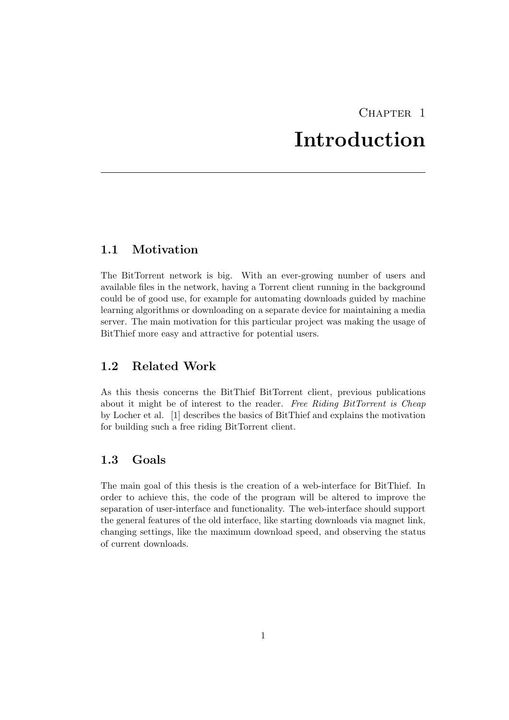## CHAPTER<sub>1</sub> Introduction

## <span id="page-4-1"></span><span id="page-4-0"></span>1.1 Motivation

The BitTorrent network is big. With an ever-growing number of users and available files in the network, having a Torrent client running in the background could be of good use, for example for automating downloads guided by machine learning algorithms or downloading on a separate device for maintaining a media server. The main motivation for this particular project was making the usage of BitThief more easy and attractive for potential users.

## <span id="page-4-2"></span>1.2 Related Work

As this thesis concerns the BitThief BitTorrent client, previous publications about it might be of interest to the reader. Free Riding BitTorrent is Cheap by Locher et al. [\[1\]](#page-18-1) describes the basics of BitThief and explains the motivation for building such a free riding BitTorrent client.

## <span id="page-4-3"></span>1.3 Goals

The main goal of this thesis is the creation of a web-interface for BitThief. In order to achieve this, the code of the program will be altered to improve the separation of user-interface and functionality. The web-interface should support the general features of the old interface, like starting downloads via magnet link, changing settings, like the maximum download speed, and observing the status of current downloads.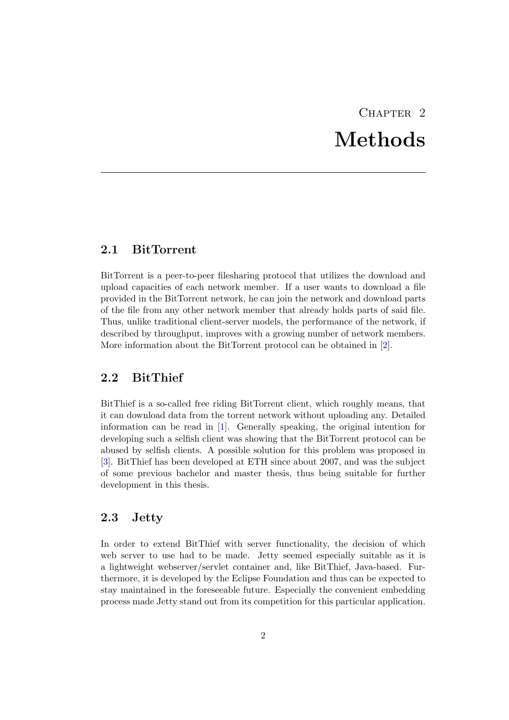# CHAPTER<sub>2</sub> Methods

## <span id="page-5-1"></span><span id="page-5-0"></span>2.1 BitTorrent

BitTorrent is a peer-to-peer filesharing protocol that utilizes the download and upload capacities of each network member. If a user wants to download a file provided in the BitTorrent network, he can join the network and download parts of the file from any other network member that already holds parts of said file. Thus, unlike traditional client-server models, the performance of the network, if described by throughput, improves with a growing number of network members. More information about the BitTorrent protocol can be obtained in [\[2\]](#page-18-2).

### <span id="page-5-2"></span>2.2 BitThief

BitThief is a so-called free riding BitTorrent client, which roughly means, that it can download data from the torrent network without uploading any. Detailed information can be read in [\[1\]](#page-18-1). Generally speaking, the original intention for developing such a selfish client was showing that the BitTorrent protocol can be abused by selfish clients. A possible solution for this problem was proposed in [\[3\]](#page-18-3). BitThief has been developed at ETH since about 2007, and was the subject of some previous bachelor and master thesis, thus being suitable for further development in this thesis.

### <span id="page-5-3"></span>2.3 Jetty

In order to extend BitThief with server functionality, the decision of which web server to use had to be made. Jetty seemed especially suitable as it is a lightweight webserver/servlet container and, like BitThief, Java-based. Furthermore, it is developed by the Eclipse Foundation and thus can be expected to stay maintained in the foreseeable future. Especially the convenient embedding process made Jetty stand out from its competition for this particular application.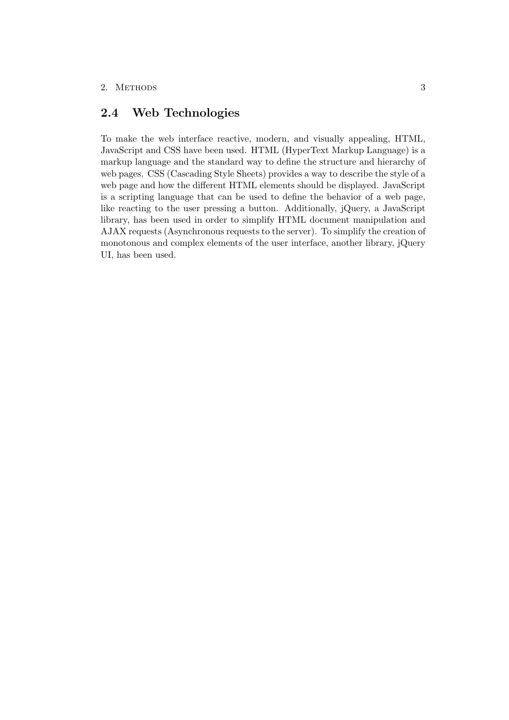## <span id="page-6-0"></span>2.4 Web Technologies

To make the web interface reactive, modern, and visually appealing, HTML, JavaScript and CSS have been used. HTML (HyperText Markup Language) is a markup language and the standard way to define the structure and hierarchy of web pages. CSS (Cascading Style Sheets) provides a way to describe the style of a web page and how the different HTML elements should be displayed. JavaScript is a scripting language that can be used to define the behavior of a web page, like reacting to the user pressing a button. Additionally, jQuery, a JavaScript library, has been used in order to simplify HTML document manipulation and AJAX requests (Asynchronous requests to the server). To simplify the creation of monotonous and complex elements of the user interface, another library, jQuery UI, has been used.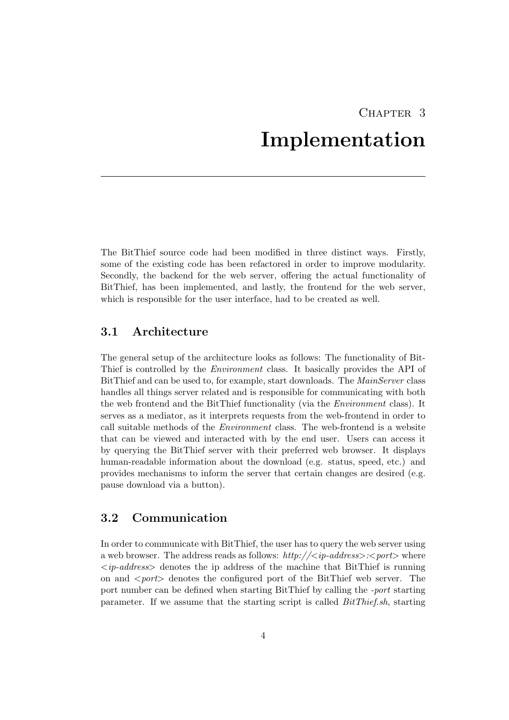## CHAPTER<sub>3</sub> Implementation

<span id="page-7-0"></span>The BitThief source code had been modified in three distinct ways. Firstly, some of the existing code has been refactored in order to improve modularity. Secondly, the backend for the web server, offering the actual functionality of BitThief, has been implemented, and lastly, the frontend for the web server, which is responsible for the user interface, had to be created as well.

## <span id="page-7-1"></span>3.1 Architecture

The general setup of the architecture looks as follows: The functionality of Bit-Thief is controlled by the Environment class. It basically provides the API of BitThief and can be used to, for example, start downloads. The MainServer class handles all things server related and is responsible for communicating with both the web frontend and the BitThief functionality (via the Environment class). It serves as a mediator, as it interprets requests from the web-frontend in order to call suitable methods of the Environment class. The web-frontend is a website that can be viewed and interacted with by the end user. Users can access it by querying the BitThief server with their preferred web browser. It displays human-readable information about the download (e.g. status, speed, etc.) and provides mechanisms to inform the server that certain changes are desired (e.g. pause download via a button).

## <span id="page-7-2"></span>3.2 Communication

In order to communicate with BitThief, the user has to query the web server using a web browser. The address reads as follows:  $http://*;*ophr$  $\langle ip\text{-}address\rangle$  denotes the ip address of the machine that BitThief is running on and  $\langle port \rangle$  denotes the configured port of the BitThief web server. The port number can be defined when starting BitThief by calling the -port starting parameter. If we assume that the starting script is called BitThief.sh, starting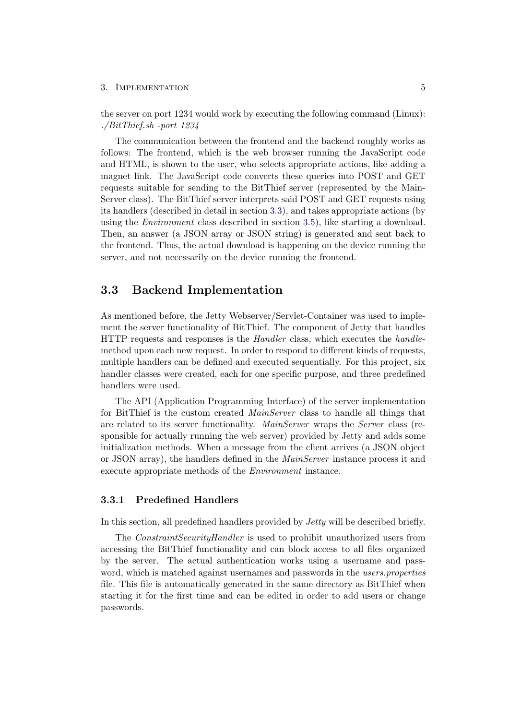the server on port 1234 would work by executing the following command (Linux): ./BitThief.sh -port 1234

The communication between the frontend and the backend roughly works as follows: The frontend, which is the web browser running the JavaScript code and HTML, is shown to the user, who selects appropriate actions, like adding a magnet link. The JavaScript code converts these queries into POST and GET requests suitable for sending to the BitThief server (represented by the Main-Server class). The BitThief server interprets said POST and GET requests using its handlers (described in detail in section [3.3\)](#page-8-0), and takes appropriate actions (by using the Environment class described in section [3.5\)](#page-10-3), like starting a download. Then, an answer (a JSON array or JSON string) is generated and sent back to the frontend. Thus, the actual download is happening on the device running the server, and not necessarily on the device running the frontend.

### <span id="page-8-0"></span>3.3 Backend Implementation

As mentioned before, the Jetty Webserver/Servlet-Container was used to implement the server functionality of BitThief. The component of Jetty that handles HTTP requests and responses is the Handler class, which executes the handlemethod upon each new request. In order to respond to different kinds of requests, multiple handlers can be defined and executed sequentially. For this project, six handler classes were created, each for one specific purpose, and three predefined handlers were used.

The API (Application Programming Interface) of the server implementation for BitThief is the custom created MainServer class to handle all things that are related to its server functionality. MainServer wraps the Server class (responsible for actually running the web server) provided by Jetty and adds some initialization methods. When a message from the client arrives (a JSON object or JSON array), the handlers defined in the MainServer instance process it and execute appropriate methods of the Environment instance.

### <span id="page-8-1"></span>3.3.1 Predefined Handlers

In this section, all predefined handlers provided by Jetty will be described briefly.

The *ConstraintSecurityHandler* is used to prohibit unauthorized users from accessing the BitThief functionality and can block access to all files organized by the server. The actual authentication works using a username and password, which is matched against usernames and passwords in the *users.properties* file. This file is automatically generated in the same directory as BitThief when starting it for the first time and can be edited in order to add users or change passwords.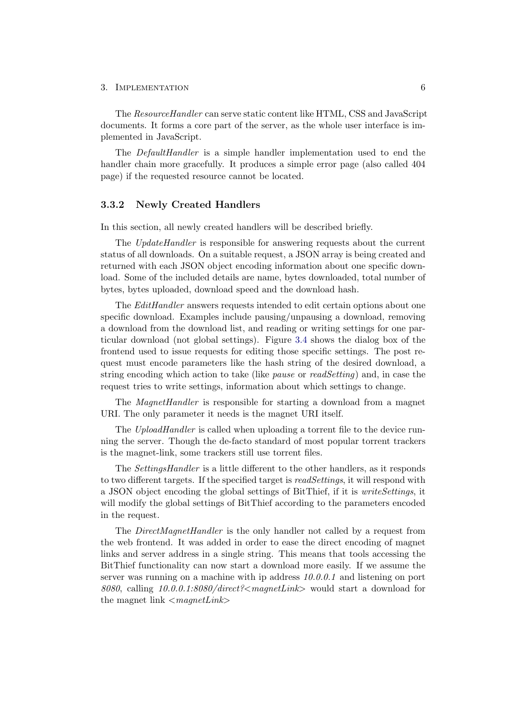The ResourceHandler can serve static content like HTML, CSS and JavaScript documents. It forms a core part of the server, as the whole user interface is implemented in JavaScript.

The *DefaultHandler* is a simple handler implementation used to end the handler chain more gracefully. It produces a simple error page (also called 404 page) if the requested resource cannot be located.

#### <span id="page-9-0"></span>3.3.2 Newly Created Handlers

In this section, all newly created handlers will be described briefly.

The UpdateHandler is responsible for answering requests about the current status of all downloads. On a suitable request, a JSON array is being created and returned with each JSON object encoding information about one specific download. Some of the included details are name, bytes downloaded, total number of bytes, bytes uploaded, download speed and the download hash.

The EditHandler answers requests intended to edit certain options about one specific download. Examples include pausing/unpausing a download, removing a download from the download list, and reading or writing settings for one particular download (not global settings). Figure [3.4](#page-14-0) shows the dialog box of the frontend used to issue requests for editing those specific settings. The post request must encode parameters like the hash string of the desired download, a string encoding which action to take (like pause or readSetting) and, in case the request tries to write settings, information about which settings to change.

The *MagnetHandler* is responsible for starting a download from a magnet URI. The only parameter it needs is the magnet URI itself.

The UploadHandler is called when uploading a torrent file to the device running the server. Though the de-facto standard of most popular torrent trackers is the magnet-link, some trackers still use torrent files.

The SettingsHandler is a little different to the other handlers, as it responds to two different targets. If the specified target is readSettings, it will respond with a JSON object encoding the global settings of BitThief, if it is *writeSettings*, it will modify the global settings of BitThief according to the parameters encoded in the request.

The *DirectMagnetHandler* is the only handler not called by a request from the web frontend. It was added in order to ease the direct encoding of magnet links and server address in a single string. This means that tools accessing the BitThief functionality can now start a download more easily. If we assume the server was running on a machine with ip address 10.0.0.1 and listening on port 8080, calling  $10.0.01$ :8080/direct?  $\langle m \text{d} \rangle$  would start a download for the magnet link  $\langle m \text{a} \text{g} \text{d} \text{h} \text{d} \text{h} \text{d} \text{h} \rangle$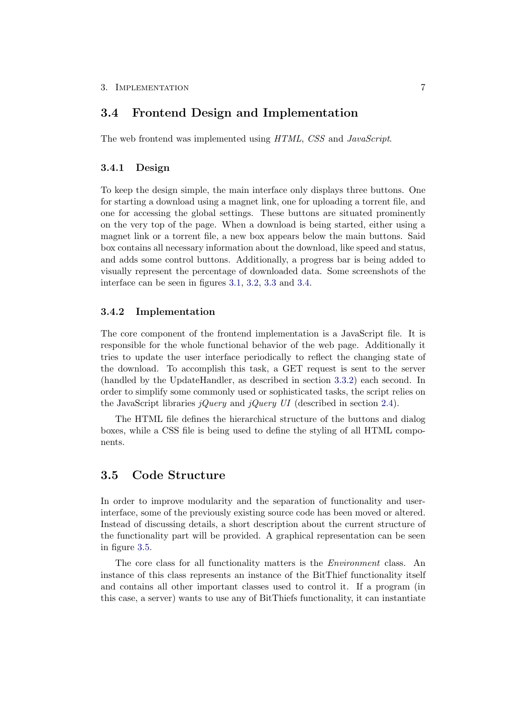### <span id="page-10-0"></span>3.4 Frontend Design and Implementation

The web frontend was implemented using HTML, CSS and JavaScript.

#### <span id="page-10-1"></span>3.4.1 Design

To keep the design simple, the main interface only displays three buttons. One for starting a download using a magnet link, one for uploading a torrent file, and one for accessing the global settings. These buttons are situated prominently on the very top of the page. When a download is being started, either using a magnet link or a torrent file, a new box appears below the main buttons. Said box contains all necessary information about the download, like speed and status, and adds some control buttons. Additionally, a progress bar is being added to visually represent the percentage of downloaded data. Some screenshots of the interface can be seen in figures [3.1,](#page-11-0) [3.2,](#page-12-0) [3.3](#page-13-0) and [3.4.](#page-14-0)

#### <span id="page-10-2"></span>3.4.2 Implementation

The core component of the frontend implementation is a JavaScript file. It is responsible for the whole functional behavior of the web page. Additionally it tries to update the user interface periodically to reflect the changing state of the download. To accomplish this task, a GET request is sent to the server (handled by the UpdateHandler, as described in section [3.3.2\)](#page-9-0) each second. In order to simplify some commonly used or sophisticated tasks, the script relies on the JavaScript libraries jQuery and jQuery UI (described in section [2.4\)](#page-6-0).

The HTML file defines the hierarchical structure of the buttons and dialog boxes, while a CSS file is being used to define the styling of all HTML components.

### <span id="page-10-3"></span>3.5 Code Structure

In order to improve modularity and the separation of functionality and userinterface, some of the previously existing source code has been moved or altered. Instead of discussing details, a short description about the current structure of the functionality part will be provided. A graphical representation can be seen in figure [3.5.](#page-15-0)

The core class for all functionality matters is the Environment class. An instance of this class represents an instance of the BitThief functionality itself and contains all other important classes used to control it. If a program (in this case, a server) wants to use any of BitThiefs functionality, it can instantiate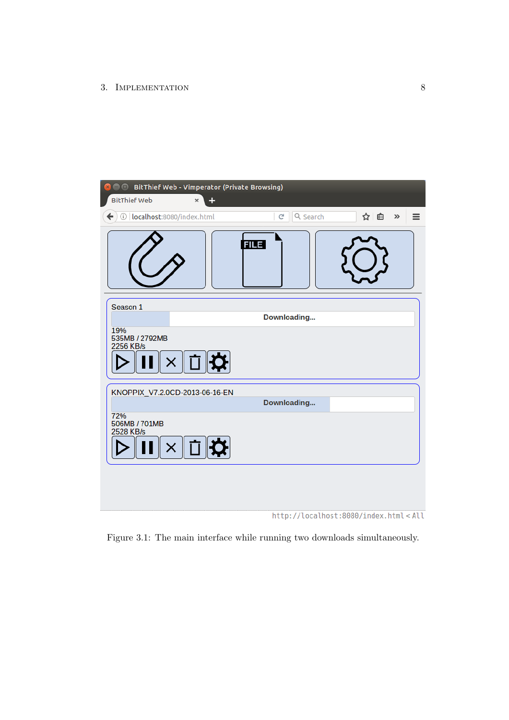| $\mathbf{x}$<br><b>BitThief Web</b>         | <b>BitThief Web - Vimperator (Private Browsing)</b><br>÷<br>× |               |                                                      |
|---------------------------------------------|---------------------------------------------------------------|---------------|------------------------------------------------------|
| $\leftarrow$<br>1 localhost:8080/index.html |                                                               | Q Search<br>G | ☆ 自<br>$\gg$<br>$\equiv$                             |
|                                             |                                                               | <b>FILE</b>   |                                                      |
| Season 1                                    |                                                               | Downloading   |                                                      |
| 19%<br>535MB / 2792MB<br>2256 KB/s          | <b>EX</b><br>X.                                               |               |                                                      |
|                                             | KNOPPIX_V7.2.0CD-2013-06-16-EN                                | Downloading   |                                                      |
| 72%<br>506MB / 701MB<br>2528 KB/s           | × ∏ ¤                                                         |               |                                                      |
|                                             |                                                               |               | http://localhost:8080/index.html <all< td=""></all<> |

<span id="page-11-0"></span>Figure 3.1: The main interface while running two downloads simultaneously.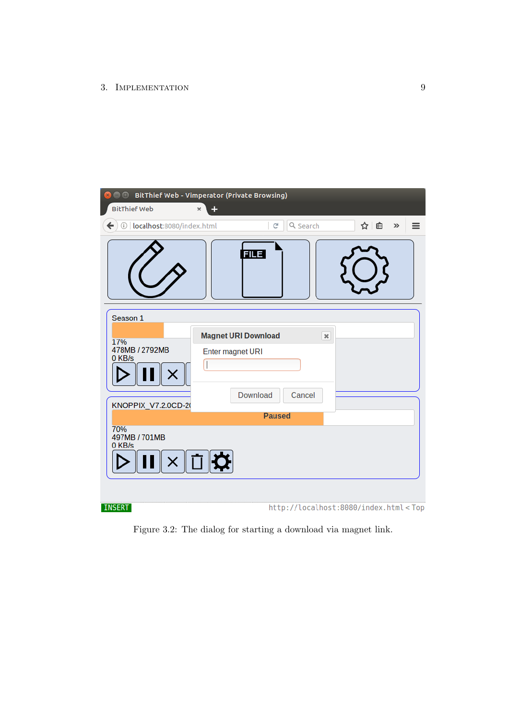| <b>C</b> $\oplus$ BitThief Web - Vimperator (Private Browsing)     |                                                                   |                                                                                 |                |              |   |
|--------------------------------------------------------------------|-------------------------------------------------------------------|---------------------------------------------------------------------------------|----------------|--------------|---|
| <b>BitThief Web</b>                                                | ÷<br>×                                                            |                                                                                 |                |              |   |
| 10   localhost:8080/index.html<br>$\leftarrow$                     |                                                                   | Q Search<br>C                                                                   |                | ☆ 自<br>$\gg$ | ≡ |
|                                                                    | <b>FILE</b>                                                       |                                                                                 |                |              |   |
| Season 1<br>17%<br>478MB / 2792MB<br>0 KB/s<br>KNOPPIX_V7.2.0CD-20 | <b>Magnet URI Download</b><br>Enter magnet URI<br><b>Download</b> | Cancel<br><b>Paused</b>                                                         | $\pmb{\times}$ |              |   |
| 70%<br>497MB / 701MB<br>0 KB/s                                     | ∥ ⊡    ¤                                                          |                                                                                 |                |              |   |
| <b>INSERT</b>                                                      |                                                                   | http://localhost:8080/index.html <top< td=""><td></td><td></td><td></td></top<> |                |              |   |

<span id="page-12-0"></span>Figure 3.2: The dialog for starting a download via magnet link.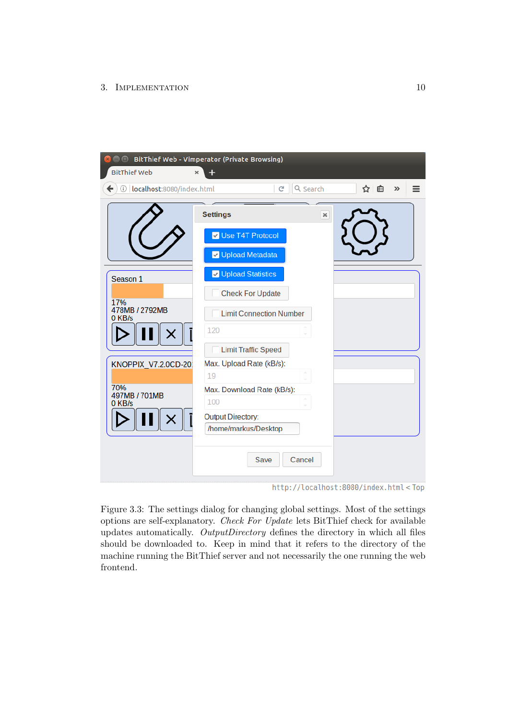| $\bullet$ $\bullet$<br><b>BitThief Web</b>              | BitThief Web - Vimperator (Private Browsing)<br>× |            |
|---------------------------------------------------------|---------------------------------------------------|------------|
| $\overline{\phantom{0}}$<br>1 localhost:8080/index.html | Q Search<br>C<br>☆│自                              | $\gg$<br>= |
|                                                         | <b>Settings</b><br>$\boldsymbol{\varkappa}$       |            |
|                                                         | Use T4T Protocol                                  |            |
|                                                         | V Upload Metadata                                 |            |
| Season 1                                                | V Upload Statistics                               |            |
| 17%                                                     | <b>Check For Update</b>                           |            |
| 478MB / 2792MB<br>0 KB/s                                | <b>Limit Connection Number</b>                    |            |
|                                                         | 120                                               |            |
|                                                         | <b>Limit Traffic Speed</b>                        |            |
| KNOPPIX_V7.2.0CD-20                                     | Max. Upload Rate (kB/s):                          |            |
|                                                         | 19                                                |            |
| 70%<br>497MB / 701MB                                    | Max. Download Rate (kB/s):                        |            |
| 0 KB/s                                                  | 100                                               |            |
|                                                         | <b>Output Directory:</b><br>/home/markus/Desktop  |            |
|                                                         |                                                   |            |
|                                                         | <b>Save</b><br>Cancel                             |            |

http://localhost:8080/index.html<Top

<span id="page-13-0"></span>Figure 3.3: The settings dialog for changing global settings. Most of the settings options are self-explanatory. Check For Update lets BitThief check for available updates automatically. OutputDirectory defines the directory in which all files should be downloaded to. Keep in mind that it refers to the directory of the machine running the BitThief server and not necessarily the one running the web frontend.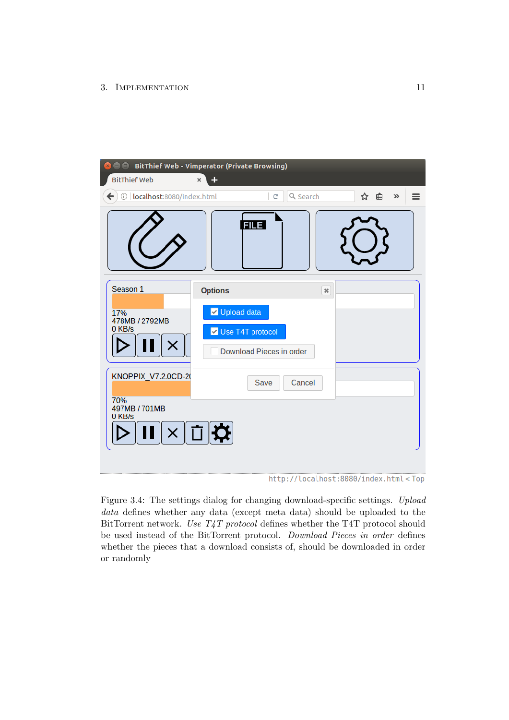| <b>B</b> $\blacksquare$ BitThief Web - Vimperator (Private Browsing) |                |                                              |                |                                                               |   |
|----------------------------------------------------------------------|----------------|----------------------------------------------|----------------|---------------------------------------------------------------|---|
| <b>BitThief Web</b>                                                  | ÷<br>×         |                                              |                |                                                               |   |
| $\leftarrow$<br>10   localhost:8080/index.html                       |                | $\mathbf{C}^i$                               | Q Search       | ☆│自<br>$\gg$                                                  | ≡ |
|                                                                      |                | <b>FILE</b>                                  |                |                                                               |   |
| Season 1                                                             | <b>Options</b> |                                              | $\pmb{\times}$ |                                                               |   |
| 17%<br>478MB / 2792MB<br>0 KB/s                                      | V Upload data  | Use T4T protocol<br>Download Pieces in order |                |                                                               |   |
| KNOPPIX_V7.2.0CD-20                                                  |                | <b>Save</b>                                  | Cancel         |                                                               |   |
| 70%<br>497MB / 701MB<br>0 KB/s                                       | ×∥□∣¤∣         |                                              |                |                                                               |   |
|                                                                      |                |                                              |                | http://localhost:8080/index.html <top< td=""><td></td></top<> |   |

<span id="page-14-0"></span>Figure 3.4: The settings dialog for changing download-specific settings. Upload data defines whether any data (except meta data) should be uploaded to the BitTorrent network. Use T4T protocol defines whether the T4T protocol should be used instead of the BitTorrent protocol. Download Pieces in order defines whether the pieces that a download consists of, should be downloaded in order or randomly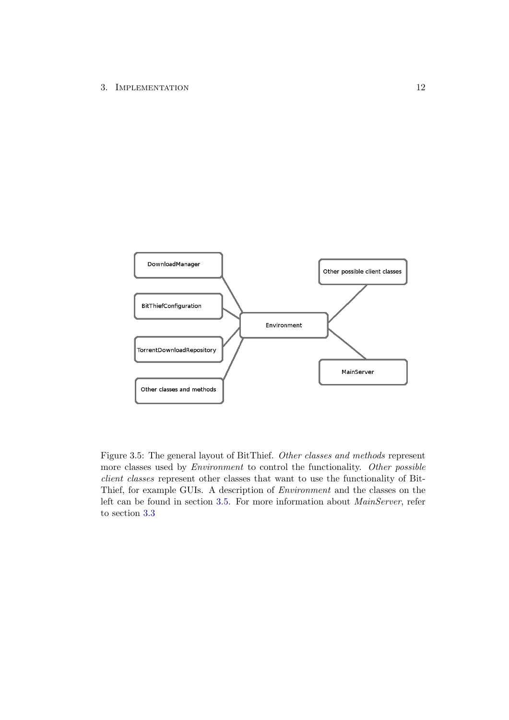

<span id="page-15-0"></span>Figure 3.5: The general layout of BitThief. Other classes and methods represent more classes used by *Environment* to control the functionality. Other possible client classes represent other classes that want to use the functionality of Bit-Thief, for example GUIs. A description of Environment and the classes on the left can be found in section [3.5.](#page-10-3) For more information about *MainServer*, refer to section [3.3](#page-8-0)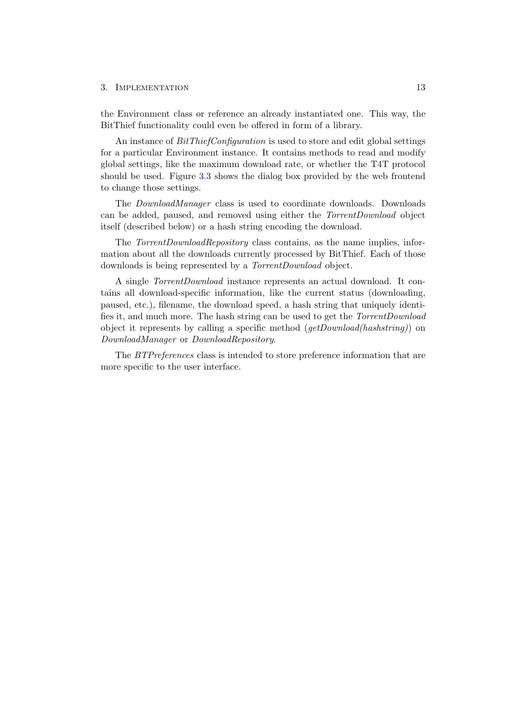the Environment class or reference an already instantiated one. This way, the BitThief functionality could even be offered in form of a library.

An instance of  $BitThiefConfiguration$  is used to store and edit global settings for a particular Environment instance. It contains methods to read and modify global settings, like the maximum download rate, or whether the T4T protocol should be used. Figure [3.3](#page-13-0) shows the dialog box provided by the web frontend to change those settings.

The DownloadManager class is used to coordinate downloads. Downloads can be added, paused, and removed using either the TorrentDownload object itself (described below) or a hash string encoding the download.

The *TorrentDownloadRepository* class contains, as the name implies, information about all the downloads currently processed by BitThief. Each of those downloads is being represented by a TorrentDownload object.

A single TorrentDownload instance represents an actual download. It contains all download-specific information, like the current status (downloading, paused, etc.), filename, the download speed, a hash string that uniquely identifies it, and much more. The hash string can be used to get the TorrentDownload object it represents by calling a specific method  $(getDownload(hashstring))$  on DownloadManager or DownloadRepository.

The BTPreferences class is intended to store preference information that are more specific to the user interface.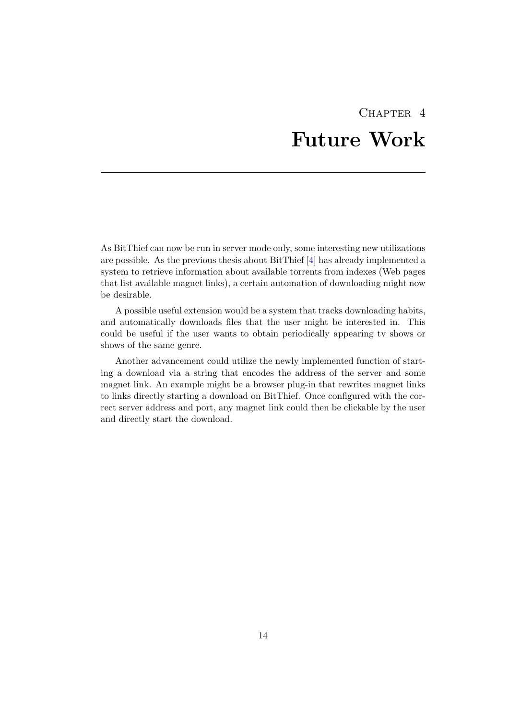## CHAPTER<sub>4</sub> Future Work

<span id="page-17-0"></span>As BitThief can now be run in server mode only, some interesting new utilizations are possible. As the previous thesis about BitThief [\[4\]](#page-18-4) has already implemented a system to retrieve information about available torrents from indexes (Web pages that list available magnet links), a certain automation of downloading might now be desirable.

A possible useful extension would be a system that tracks downloading habits, and automatically downloads files that the user might be interested in. This could be useful if the user wants to obtain periodically appearing tv shows or shows of the same genre.

Another advancement could utilize the newly implemented function of starting a download via a string that encodes the address of the server and some magnet link. An example might be a browser plug-in that rewrites magnet links to links directly starting a download on BitThief. Once configured with the correct server address and port, any magnet link could then be clickable by the user and directly start the download.